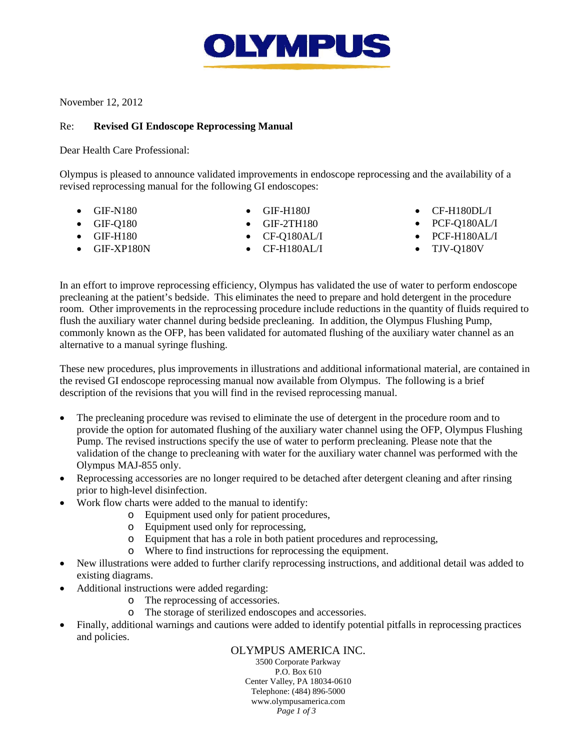

November 12, 2012

## Re: **Revised GI Endoscope Reprocessing Manual**

Dear Health Care Professional:

Olympus is pleased to announce validated improvements in endoscope reprocessing and the availability of a revised reprocessing manual for the following GI endoscopes:

- GIF-N180
- GIF-Q180
- GIF-H180
- GIF-XP180N
- GIF-H180J
- GIF-2TH180
- CF-Q180AL/I
- CF-H180AL/I
- CF-H180DL/I
- PCF-Q180AL/I
- PCF-H180AL/I
- TJV-Q180V

In an effort to improve reprocessing efficiency, Olympus has validated the use of water to perform endoscope precleaning at the patient's bedside. This eliminates the need to prepare and hold detergent in the procedure room. Other improvements in the reprocessing procedure include reductions in the quantity of fluids required to flush the auxiliary water channel during bedside precleaning. In addition, the Olympus Flushing Pump, commonly known as the OFP, has been validated for automated flushing of the auxiliary water channel as an alternative to a manual syringe flushing.

These new procedures, plus improvements in illustrations and additional informational material, are contained in the revised GI endoscope reprocessing manual now available from Olympus. The following is a brief description of the revisions that you will find in the revised reprocessing manual.

- The precleaning procedure was revised to eliminate the use of detergent in the procedure room and to provide the option for automated flushing of the auxiliary water channel using the OFP, Olympus Flushing Pump. The revised instructions specify the use of water to perform precleaning. Please note that the validation of the change to precleaning with water for the auxiliary water channel was performed with the Olympus MAJ-855 only.
- Reprocessing accessories are no longer required to be detached after detergent cleaning and after rinsing prior to high-level disinfection.
- Work flow charts were added to the manual to identify:
	- o Equipment used only for patient procedures,
	- o Equipment used only for reprocessing,
	- o Equipment that has a role in both patient procedures and reprocessing,
	- o Where to find instructions for reprocessing the equipment.
- New illustrations were added to further clarify reprocessing instructions, and additional detail was added to existing diagrams.
- Additional instructions were added regarding:
	- o The reprocessing of accessories.
	- o The storage of sterilized endoscopes and accessories.
- Finally, additional warnings and cautions were added to identify potential pitfalls in reprocessing practices and policies.

OLYMPUS AMERICA INC. 3500 Corporate Parkway P.O. Box 610 Center Valley, PA 18034-0610 Telephone: (484) 896-5000 [www.olympusamerica.com](http://www.olympusamerica.com/) *Page 1 of 3*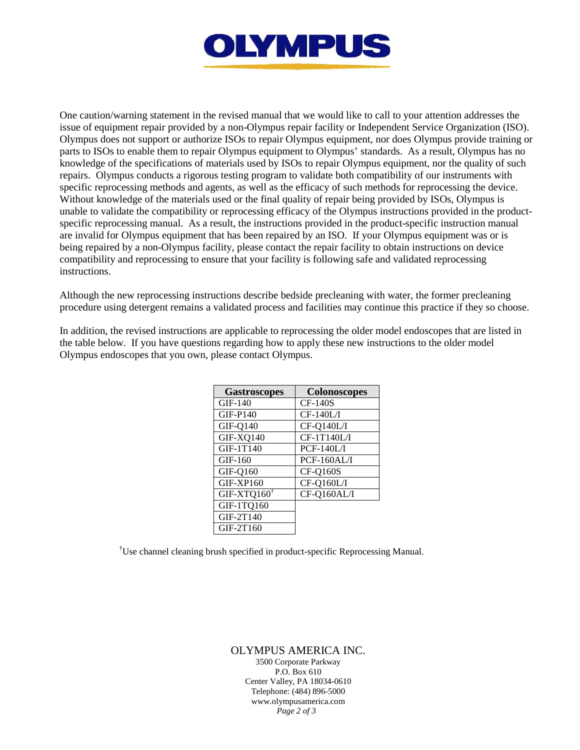

One caution/warning statement in the revised manual that we would like to call to your attention addresses the issue of equipment repair provided by a non-Olympus repair facility or Independent Service Organization (ISO). Olympus does not support or authorize ISOs to repair Olympus equipment, nor does Olympus provide training or parts to ISOs to enable them to repair Olympus equipment to Olympus' standards. As a result, Olympus has no knowledge of the specifications of materials used by ISOs to repair Olympus equipment, nor the quality of such repairs. Olympus conducts a rigorous testing program to validate both compatibility of our instruments with specific reprocessing methods and agents, as well as the efficacy of such methods for reprocessing the device. Without knowledge of the materials used or the final quality of repair being provided by ISOs, Olympus is unable to validate the compatibility or reprocessing efficacy of the Olympus instructions provided in the productspecific reprocessing manual. As a result, the instructions provided in the product-specific instruction manual are invalid for Olympus equipment that has been repaired by an ISO. If your Olympus equipment was or is being repaired by a non-Olympus facility, please contact the repair facility to obtain instructions on device compatibility and reprocessing to ensure that your facility is following safe and validated reprocessing instructions.

Although the new reprocessing instructions describe bedside precleaning with water, the former precleaning procedure using detergent remains a validated process and facilities may continue this practice if they so choose.

In addition, the revised instructions are applicable to reprocessing the older model endoscopes that are listed in the table below. If you have questions regarding how to apply these new instructions to the older model Olympus endoscopes that you own, please contact Olympus.

| <b>Gastroscopes</b>    | <b>Colonoscopes</b> |
|------------------------|---------------------|
| $GIF-140$              | $CF-140S$           |
| $GIF-P140$             | $CF-140L/I$         |
| <b>GIF-Q140</b>        | CF-Q140L/I          |
| GIF-XQ140              | CF-1T140L/I         |
| GIF-1T140              | $PCF-140L/I$        |
| $GIF-160$              | PCF-160AL/I         |
| <b>GIF-Q160</b>        | <b>CF-Q160S</b>     |
| GIF-XP160              | CF-Q160L/I          |
| $GIF-XTQ160^{\dagger}$ | CF-Q160AL/I         |
| GIF-1TQ160             |                     |
| GIF-2T140              |                     |
| GIF-2T160              |                     |

† Use channel cleaning brush specified in product-specific Reprocessing Manual.

OLYMPUS AMERICA INC. 3500 Corporate Parkway P.O. Box 610 Center Valley, PA 18034-0610 Telephone: (484) 896-5000 [www.olympusamerica.com](http://www.olympusamerica.com/) *Page 2 of 3*